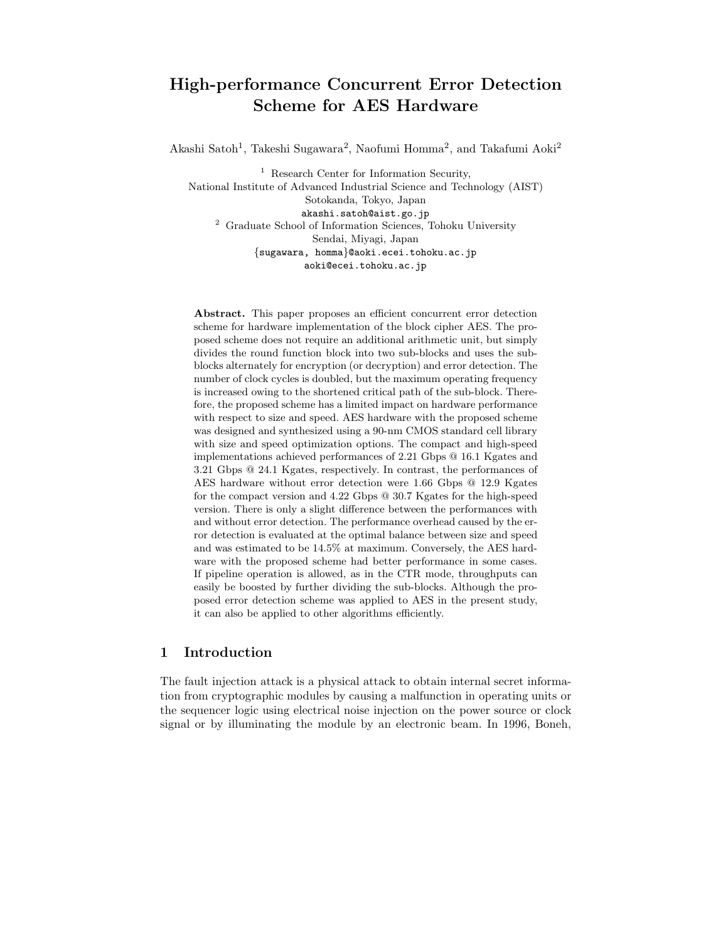# **High-performance Concurrent Error Detection Scheme for AES Hardware**

Akashi Satoh<sup>1</sup>, Takeshi Sugawara<sup>2</sup>, Naofumi Homma<sup>2</sup>, and Takafumi Aoki<sup>2</sup>

<sup>1</sup> Research Center for Information Security, National Institute of Advanced Industrial Science and Technology (AIST) Sotokanda, Tokyo, Japan akashi.satoh@aist.go.jp 2 Graduate School of Information Sciences, Tohoku University Sendai, Miyagi, Japan *{*sugawara, homma*}*@aoki.ecei.tohoku.ac.jp aoki@ecei.tohoku.ac.jp

**Abstract.** This paper proposes an efficient concurrent error detection scheme for hardware implementation of the block cipher AES. The proposed scheme does not require an additional arithmetic unit, but simply divides the round function block into two sub-blocks and uses the subblocks alternately for encryption (or decryption) and error detection. The number of clock cycles is doubled, but the maximum operating frequency is increased owing to the shortened critical path of the sub-block. Therefore, the proposed scheme has a limited impact on hardware performance with respect to size and speed. AES hardware with the proposed scheme was designed and synthesized using a 90-nm CMOS standard cell library with size and speed optimization options. The compact and high-speed implementations achieved performances of 2.21 Gbps @ 16.1 Kgates and 3.21 Gbps @ 24.1 Kgates, respectively. In contrast, the performances of AES hardware without error detection were 1.66 Gbps @ 12.9 Kgates for the compact version and 4.22 Gbps @ 30.7 Kgates for the high-speed version. There is only a slight difference between the performances with and without error detection. The performance overhead caused by the error detection is evaluated at the optimal balance between size and speed and was estimated to be 14.5% at maximum. Conversely, the AES hardware with the proposed scheme had better performance in some cases. If pipeline operation is allowed, as in the CTR mode, throughputs can easily be boosted by further dividing the sub-blocks. Although the proposed error detection scheme was applied to AES in the present study, it can also be applied to other algorithms efficiently.

## **1 Introduction**

The fault injection attack is a physical attack to obtain internal secret information from cryptographic modules by causing a malfunction in operating units or the sequencer logic using electrical noise injection on the power source or clock signal or by illuminating the module by an electronic beam. In 1996, Boneh,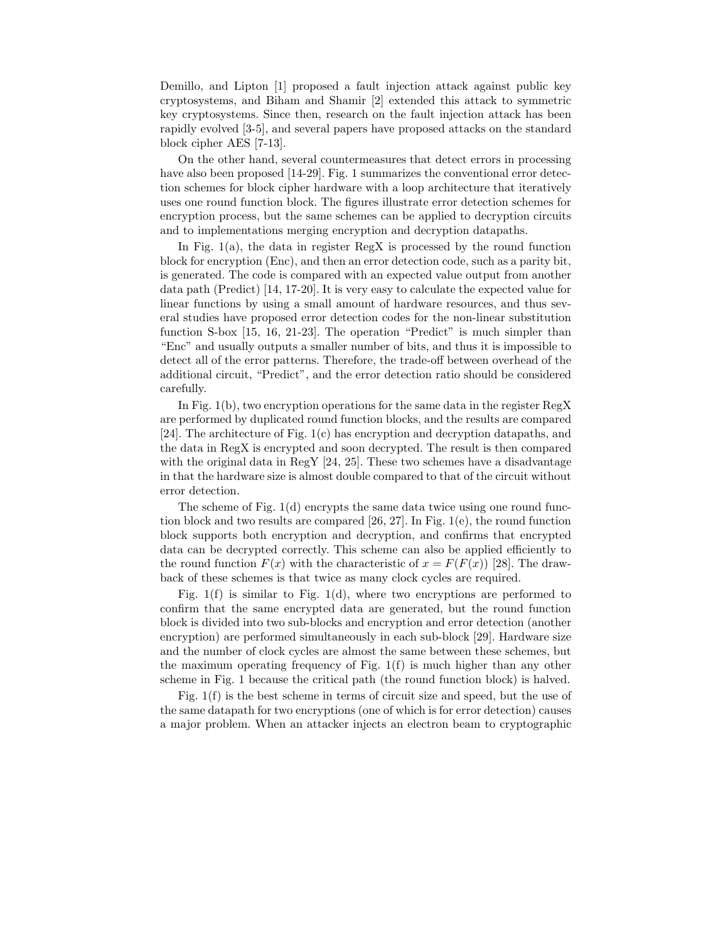Demillo, and Lipton [1] proposed a fault injection attack against public key cryptosystems, and Biham and Shamir [2] extended this attack to symmetric key cryptosystems. Since then, research on the fault injection attack has been rapidly evolved [3-5], and several papers have proposed attacks on the standard block cipher AES [7-13].

On the other hand, several countermeasures that detect errors in processing have also been proposed [14-29]. Fig. 1 summarizes the conventional error detection schemes for block cipher hardware with a loop architecture that iteratively uses one round function block. The figures illustrate error detection schemes for encryption process, but the same schemes can be applied to decryption circuits and to implementations merging encryption and decryption datapaths.

In Fig.  $1(a)$ , the data in register RegX is processed by the round function block for encryption (Enc), and then an error detection code, such as a parity bit, is generated. The code is compared with an expected value output from another data path (Predict) [14, 17-20]. It is very easy to calculate the expected value for linear functions by using a small amount of hardware resources, and thus several studies have proposed error detection codes for the non-linear substitution function S-box [15, 16, 21-23]. The operation "Predict" is much simpler than "Enc" and usually outputs a smaller number of bits, and thus it is impossible to detect all of the error patterns. Therefore, the trade-off between overhead of the additional circuit, "Predict", and the error detection ratio should be considered carefully.

In Fig. 1(b), two encryption operations for the same data in the register RegX are performed by duplicated round function blocks, and the results are compared [24]. The architecture of Fig. 1(c) has encryption and decryption datapaths, and the data in RegX is encrypted and soon decrypted. The result is then compared with the original data in RegY [24, 25]. These two schemes have a disadvantage in that the hardware size is almost double compared to that of the circuit without error detection.

The scheme of Fig.  $1(d)$  encrypts the same data twice using one round function block and two results are compared [26, 27]. In Fig. 1(e), the round function block supports both encryption and decryption, and confirms that encrypted data can be decrypted correctly. This scheme can also be applied efficiently to the round function  $F(x)$  with the characteristic of  $x = F(F(x))$  [28]. The drawback of these schemes is that twice as many clock cycles are required.

Fig.  $1(f)$  is similar to Fig.  $1(d)$ , where two encryptions are performed to confirm that the same encrypted data are generated, but the round function block is divided into two sub-blocks and encryption and error detection (another encryption) are performed simultaneously in each sub-block [29]. Hardware size and the number of clock cycles are almost the same between these schemes, but the maximum operating frequency of Fig. 1(f) is much higher than any other scheme in Fig. 1 because the critical path (the round function block) is halved.

Fig. 1(f) is the best scheme in terms of circuit size and speed, but the use of the same datapath for two encryptions (one of which is for error detection) causes a major problem. When an attacker injects an electron beam to cryptographic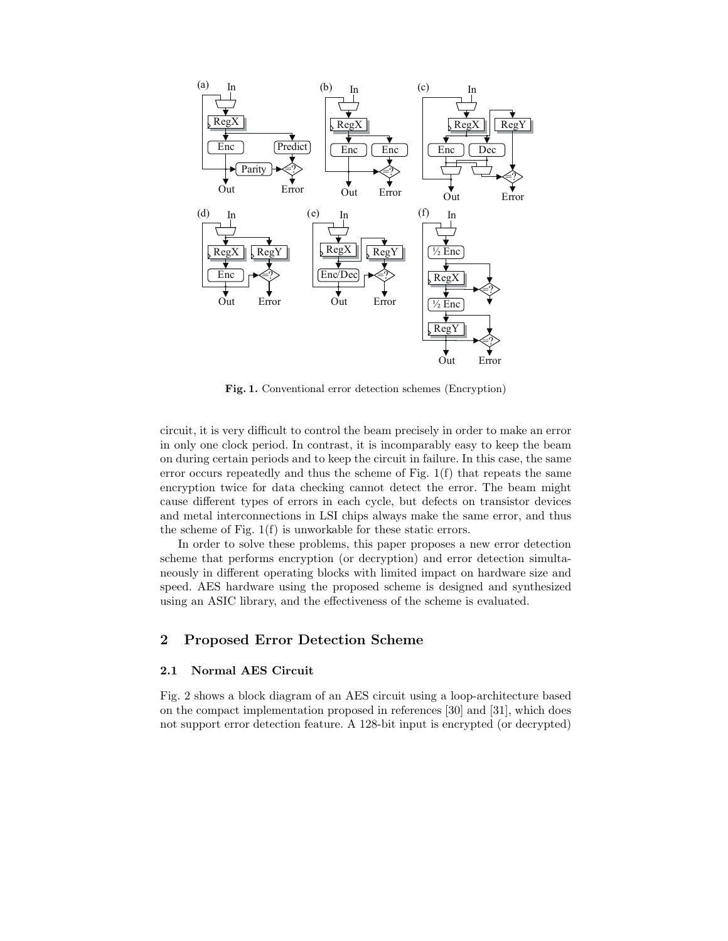

**Fig. 1.** Conventional error detection schemes (Encryption)

circuit, it is very difficult to control the beam precisely in order to make an error in only one clock period. In contrast, it is incomparably easy to keep the beam on during certain periods and to keep the circuit in failure. In this case, the same error occurs repeatedly and thus the scheme of Fig. 1(f) that repeats the same encryption twice for data checking cannot detect the error. The beam might cause different types of errors in each cycle, but defects on transistor devices and metal interconnections in LSI chips always make the same error, and thus the scheme of Fig. 1(f) is unworkable for these static errors.

In order to solve these problems, this paper proposes a new error detection scheme that performs encryption (or decryption) and error detection simultaneously in different operating blocks with limited impact on hardware size and speed. AES hardware using the proposed scheme is designed and synthesized using an ASIC library, and the effectiveness of the scheme is evaluated.

## **2 Proposed Error Detection Scheme**

#### **2.1 Normal AES Circuit**

Fig. 2 shows a block diagram of an AES circuit using a loop-architecture based on the compact implementation proposed in references [30] and [31], which does not support error detection feature. A 128-bit input is encrypted (or decrypted)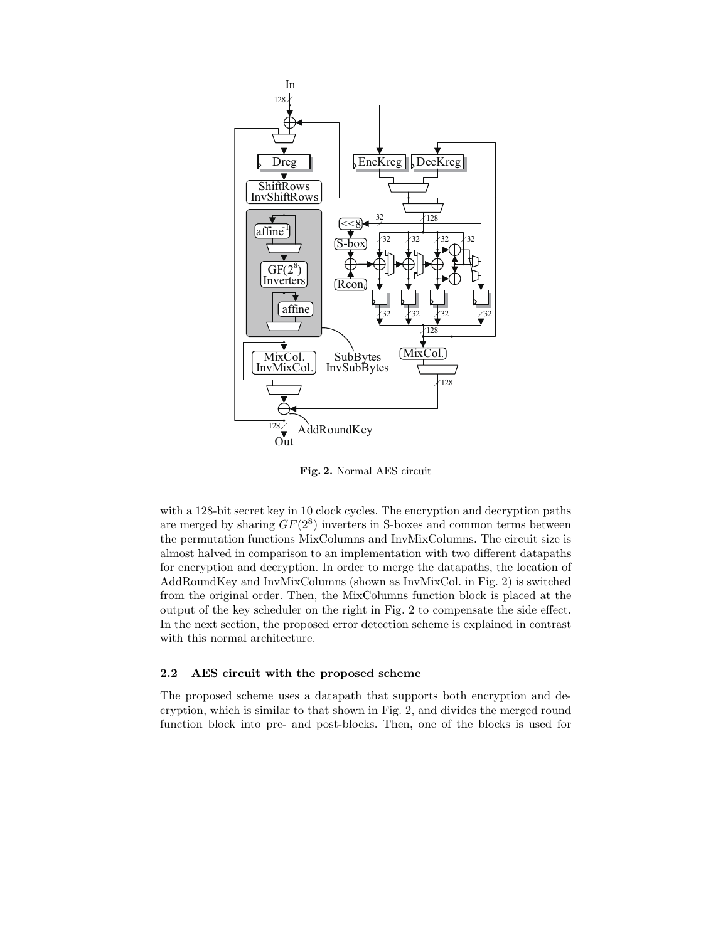

**Fig. 2.** Normal AES circuit

with a 128-bit secret key in 10 clock cycles. The encryption and decryption paths are merged by sharing  $GF(2^8)$  inverters in S-boxes and common terms between the permutation functions MixColumns and InvMixColumns. The circuit size is almost halved in comparison to an implementation with two different datapaths for encryption and decryption. In order to merge the datapaths, the location of AddRoundKey and InvMixColumns (shown as InvMixCol. in Fig. 2) is switched from the original order. Then, the MixColumns function block is placed at the output of the key scheduler on the right in Fig. 2 to compensate the side effect. In the next section, the proposed error detection scheme is explained in contrast with this normal architecture.

## **2.2 AES circuit with the proposed scheme**

The proposed scheme uses a datapath that supports both encryption and decryption, which is similar to that shown in Fig. 2, and divides the merged round function block into pre- and post-blocks. Then, one of the blocks is used for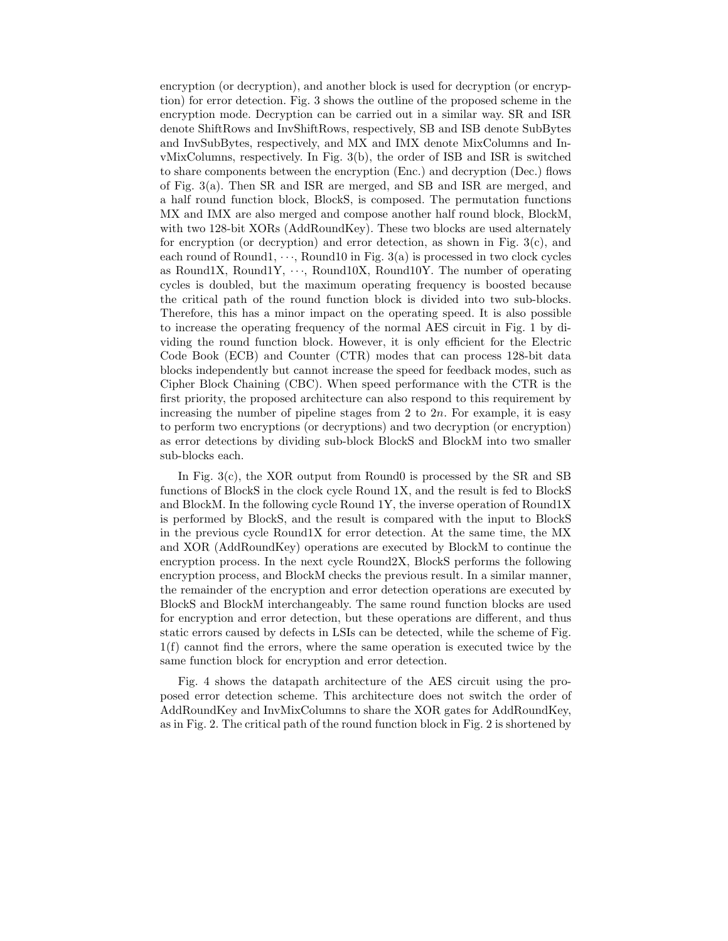encryption (or decryption), and another block is used for decryption (or encryption) for error detection. Fig. 3 shows the outline of the proposed scheme in the encryption mode. Decryption can be carried out in a similar way. SR and ISR denote ShiftRows and InvShiftRows, respectively, SB and ISB denote SubBytes and InvSubBytes, respectively, and MX and IMX denote MixColumns and InvMixColumns, respectively. In Fig. 3(b), the order of ISB and ISR is switched to share components between the encryption (Enc.) and decryption (Dec.) flows of Fig. 3(a). Then SR and ISR are merged, and SB and ISR are merged, and a half round function block, BlockS, is composed. The permutation functions MX and IMX are also merged and compose another half round block, BlockM, with two 128-bit XORs (AddRoundKey). These two blocks are used alternately for encryption (or decryption) and error detection, as shown in Fig.  $3(c)$ , and each round of Round1,  $\cdots$ , Round10 in Fig. 3(a) is processed in two clock cycles as Round1X, Round1Y,  $\cdots$ , Round10X, Round10Y. The number of operating cycles is doubled, but the maximum operating frequency is boosted because the critical path of the round function block is divided into two sub-blocks. Therefore, this has a minor impact on the operating speed. It is also possible to increase the operating frequency of the normal AES circuit in Fig. 1 by dividing the round function block. However, it is only efficient for the Electric Code Book (ECB) and Counter (CTR) modes that can process 128-bit data blocks independently but cannot increase the speed for feedback modes, such as Cipher Block Chaining (CBC). When speed performance with the CTR is the first priority, the proposed architecture can also respond to this requirement by increasing the number of pipeline stages from 2 to 2*n*. For example, it is easy to perform two encryptions (or decryptions) and two decryption (or encryption) as error detections by dividing sub-block BlockS and BlockM into two smaller sub-blocks each.

In Fig. 3(c), the XOR output from Round0 is processed by the SR and SB functions of BlockS in the clock cycle Round 1X, and the result is fed to BlockS and BlockM. In the following cycle Round 1Y, the inverse operation of Round1X is performed by BlockS, and the result is compared with the input to BlockS in the previous cycle Round1X for error detection. At the same time, the MX and XOR (AddRoundKey) operations are executed by BlockM to continue the encryption process. In the next cycle Round2X, BlockS performs the following encryption process, and BlockM checks the previous result. In a similar manner, the remainder of the encryption and error detection operations are executed by BlockS and BlockM interchangeably. The same round function blocks are used for encryption and error detection, but these operations are different, and thus static errors caused by defects in LSIs can be detected, while the scheme of Fig. 1(f) cannot find the errors, where the same operation is executed twice by the same function block for encryption and error detection.

Fig. 4 shows the datapath architecture of the AES circuit using the proposed error detection scheme. This architecture does not switch the order of AddRoundKey and InvMixColumns to share the XOR gates for AddRoundKey, as in Fig. 2. The critical path of the round function block in Fig. 2 is shortened by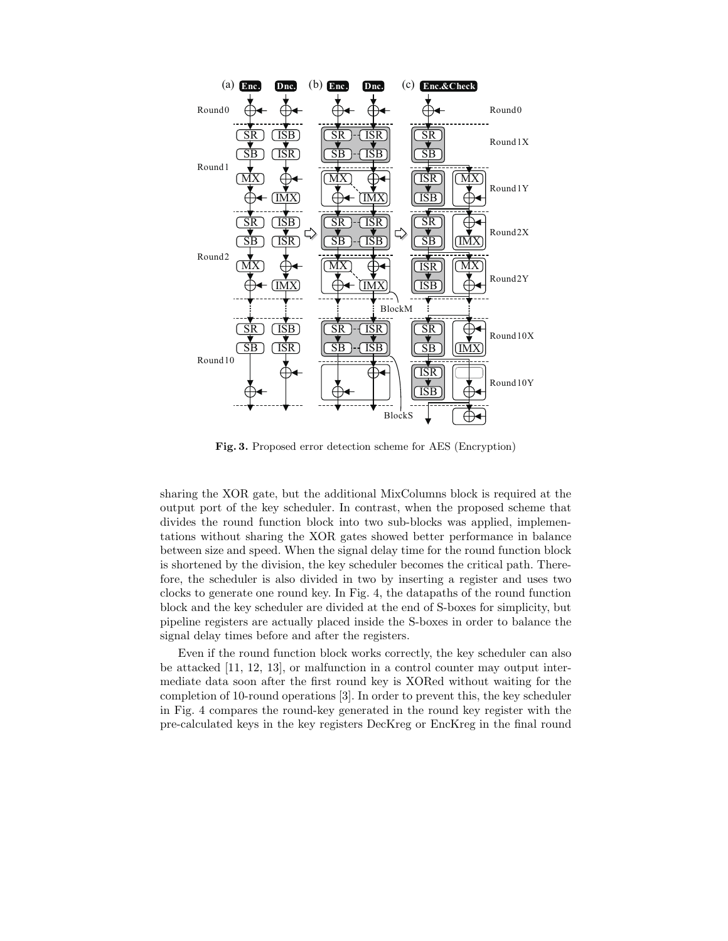

**Fig. 3.** Proposed error detection scheme for AES (Encryption)

sharing the XOR gate, but the additional MixColumns block is required at the output port of the key scheduler. In contrast, when the proposed scheme that divides the round function block into two sub-blocks was applied, implementations without sharing the XOR gates showed better performance in balance between size and speed. When the signal delay time for the round function block is shortened by the division, the key scheduler becomes the critical path. Therefore, the scheduler is also divided in two by inserting a register and uses two clocks to generate one round key. In Fig. 4, the datapaths of the round function block and the key scheduler are divided at the end of S-boxes for simplicity, but pipeline registers are actually placed inside the S-boxes in order to balance the signal delay times before and after the registers.

Even if the round function block works correctly, the key scheduler can also be attacked [11, 12, 13], or malfunction in a control counter may output intermediate data soon after the first round key is XORed without waiting for the completion of 10-round operations [3]. In order to prevent this, the key scheduler in Fig. 4 compares the round-key generated in the round key register with the pre-calculated keys in the key registers DecKreg or EncKreg in the final round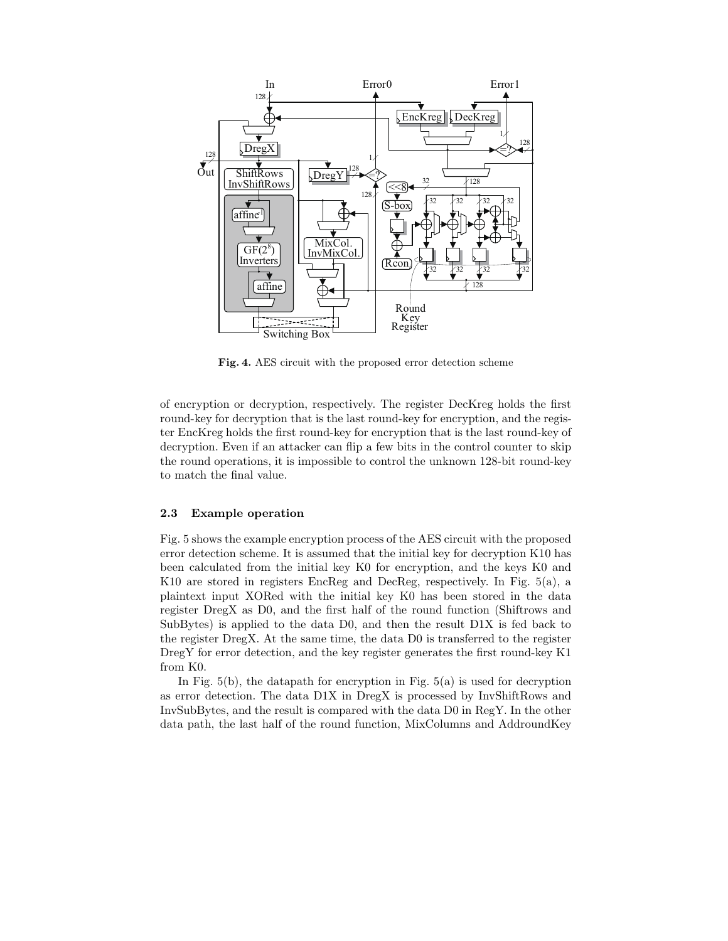

**Fig. 4.** AES circuit with the proposed error detection scheme

of encryption or decryption, respectively. The register DecKreg holds the first round-key for decryption that is the last round-key for encryption, and the register EncKreg holds the first round-key for encryption that is the last round-key of decryption. Even if an attacker can flip a few bits in the control counter to skip the round operations, it is impossible to control the unknown 128-bit round-key to match the final value.

#### **2.3 Example operation**

Fig. 5 shows the example encryption process of the AES circuit with the proposed error detection scheme. It is assumed that the initial key for decryption K10 has been calculated from the initial key K0 for encryption, and the keys K0 and K10 are stored in registers EncReg and DecReg, respectively. In Fig. 5(a), a plaintext input XORed with the initial key K0 has been stored in the data register DregX as D0, and the first half of the round function (Shiftrows and SubBytes) is applied to the data D0, and then the result D1X is fed back to the register DregX. At the same time, the data D0 is transferred to the register DregY for error detection, and the key register generates the first round-key K1 from K0.

In Fig.  $5(b)$ , the datapath for encryption in Fig.  $5(a)$  is used for decryption as error detection. The data D1X in DregX is processed by InvShiftRows and InvSubBytes, and the result is compared with the data D0 in RegY. In the other data path, the last half of the round function, MixColumns and AddroundKey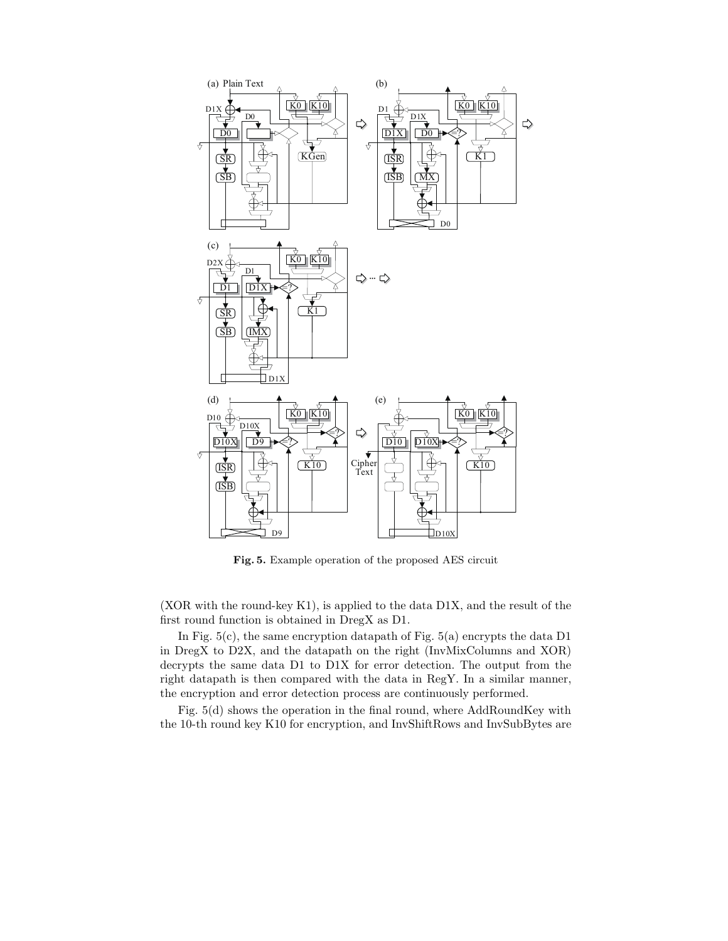

**Fig. 5.** Example operation of the proposed AES circuit

(XOR with the round-key K1), is applied to the data D1X, and the result of the first round function is obtained in DregX as D1.

In Fig.  $5(c)$ , the same encryption datapath of Fig.  $5(a)$  encrypts the data D1 in DregX to D2X, and the datapath on the right (InvMixColumns and XOR) decrypts the same data D1 to D1X for error detection. The output from the right datapath is then compared with the data in RegY. In a similar manner, the encryption and error detection process are continuously performed.

Fig. 5(d) shows the operation in the final round, where AddRoundKey with the 10-th round key K10 for encryption, and InvShiftRows and InvSubBytes are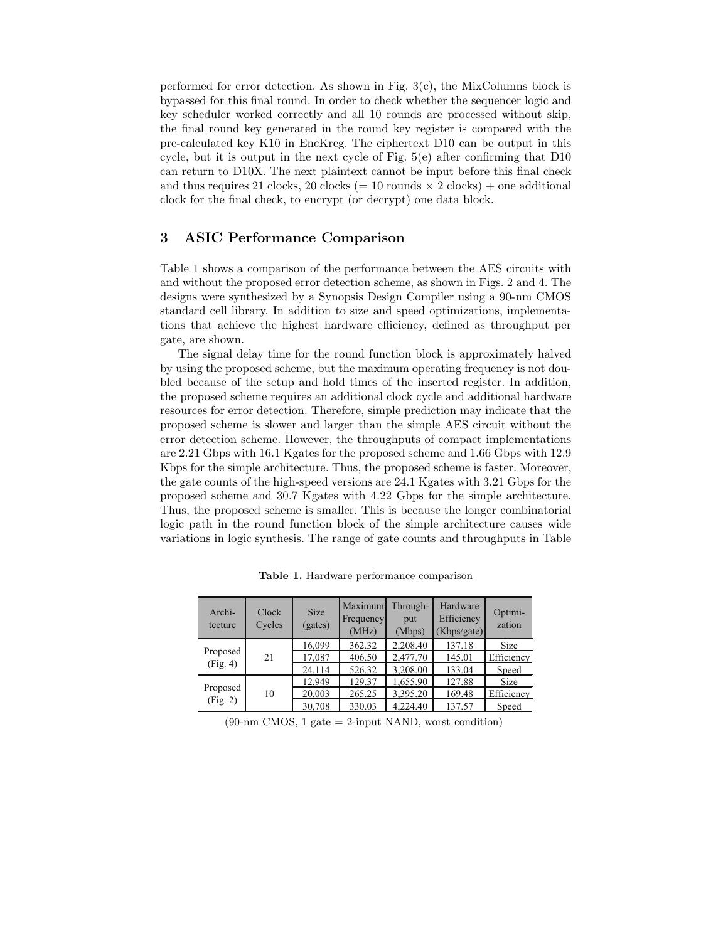performed for error detection. As shown in Fig. 3(c), the MixColumns block is bypassed for this final round. In order to check whether the sequencer logic and key scheduler worked correctly and all 10 rounds are processed without skip, the final round key generated in the round key register is compared with the pre-calculated key K10 in EncKreg. The ciphertext D10 can be output in this cycle, but it is output in the next cycle of Fig. 5(e) after confirming that D10 can return to D10X. The next plaintext cannot be input before this final check and thus requires 21 clocks, 20 clocks (= 10 rounds  $\times$  2 clocks) + one additional clock for the final check, to encrypt (or decrypt) one data block.

## **3 ASIC Performance Comparison**

Table 1 shows a comparison of the performance between the AES circuits with and without the proposed error detection scheme, as shown in Figs. 2 and 4. The designs were synthesized by a Synopsis Design Compiler using a 90-nm CMOS standard cell library. In addition to size and speed optimizations, implementations that achieve the highest hardware efficiency, defined as throughput per gate, are shown.

The signal delay time for the round function block is approximately halved by using the proposed scheme, but the maximum operating frequency is not doubled because of the setup and hold times of the inserted register. In addition, the proposed scheme requires an additional clock cycle and additional hardware resources for error detection. Therefore, simple prediction may indicate that the proposed scheme is slower and larger than the simple AES circuit without the error detection scheme. However, the throughputs of compact implementations are 2.21 Gbps with 16.1 Kgates for the proposed scheme and 1.66 Gbps with 12.9 Kbps for the simple architecture. Thus, the proposed scheme is faster. Moreover, the gate counts of the high-speed versions are 24.1 Kgates with 3.21 Gbps for the proposed scheme and 30.7 Kgates with 4.22 Gbps for the simple architecture. Thus, the proposed scheme is smaller. This is because the longer combinatorial logic path in the round function block of the simple architecture causes wide variations in logic synthesis. The range of gate counts and throughputs in Table

| Archi-<br>tecture    | Clock<br>Cycles | <b>Size</b><br>(gates) | Maximum<br>Frequency<br>(MHz) | Through-<br>put<br>(Mbps) | Hardware<br>Efficiency<br>(Kbps/gate) | Optimi-<br>zation |
|----------------------|-----------------|------------------------|-------------------------------|---------------------------|---------------------------------------|-------------------|
| Proposed<br>(Fig. 4) | 21              | 16,099                 | 362.32                        | 2,208.40                  | 137.18                                | <b>Size</b>       |
|                      |                 | 17,087                 | 406.50                        | 2,477.70                  | 145.01                                | Efficiency        |
|                      |                 | 24,114                 | 526.32                        | 3,208.00                  | 133.04                                | Speed             |
| Proposed<br>(Fig. 2) | 10              | 12,949                 | 129.37                        | 1,655.90                  | 127.88                                | <b>Size</b>       |
|                      |                 | 20,003                 | 265.25                        | 3,395.20                  | 169.48                                | Efficiency        |
|                      |                 | 30,708                 | 330.03                        | 4.224.40                  | 137.57                                | Speed             |

**Table 1.** Hardware performance comparison

 $(90\text{-}nm \text{ CMOS}, 1 \text{ gate} = 2\text{-input NAND},$  worst condition)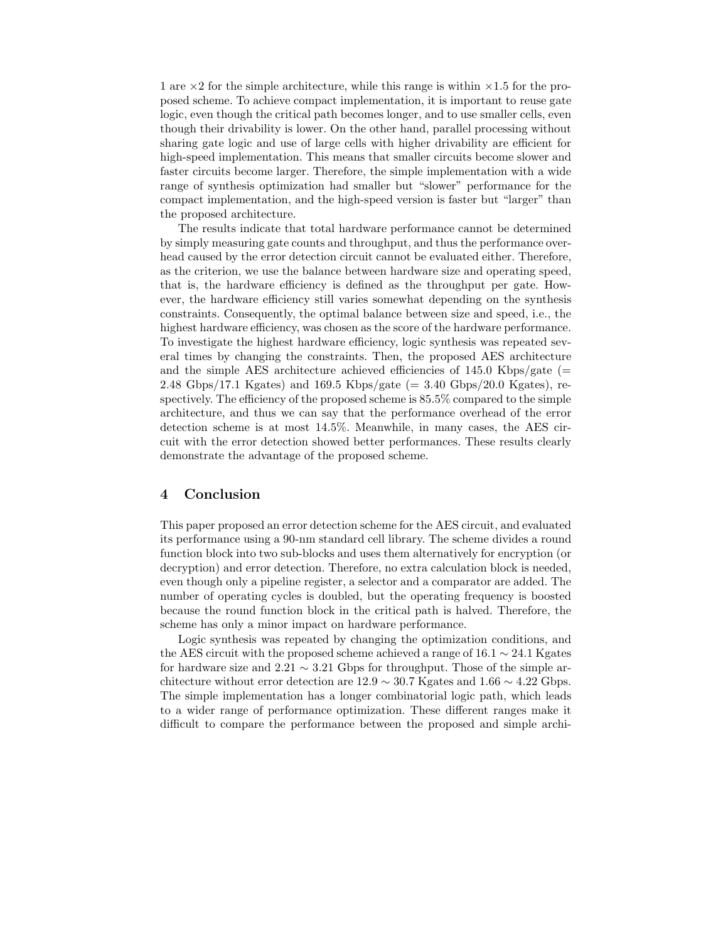1 are  $\times$  2 for the simple architecture, while this range is within  $\times$  1.5 for the proposed scheme. To achieve compact implementation, it is important to reuse gate logic, even though the critical path becomes longer, and to use smaller cells, even though their drivability is lower. On the other hand, parallel processing without sharing gate logic and use of large cells with higher drivability are efficient for high-speed implementation. This means that smaller circuits become slower and faster circuits become larger. Therefore, the simple implementation with a wide range of synthesis optimization had smaller but "slower" performance for the compact implementation, and the high-speed version is faster but "larger" than the proposed architecture.

The results indicate that total hardware performance cannot be determined by simply measuring gate counts and throughput, and thus the performance overhead caused by the error detection circuit cannot be evaluated either. Therefore, as the criterion, we use the balance between hardware size and operating speed, that is, the hardware efficiency is defined as the throughput per gate. However, the hardware efficiency still varies somewhat depending on the synthesis constraints. Consequently, the optimal balance between size and speed, i.e., the highest hardware efficiency, was chosen as the score of the hardware performance. To investigate the highest hardware efficiency, logic synthesis was repeated several times by changing the constraints. Then, the proposed AES architecture and the simple AES architecture achieved efficiencies of  $145.0 \text{ Kbps/gate}$  (= 2.48 Gbps/17.1 Kgates) and 169.5 Kbps/gate  $(= 3.40 \text{ Gbps}/20.0 \text{ Kgates})$ , respectively. The efficiency of the proposed scheme is 85.5% compared to the simple architecture, and thus we can say that the performance overhead of the error detection scheme is at most 14.5%. Meanwhile, in many cases, the AES circuit with the error detection showed better performances. These results clearly demonstrate the advantage of the proposed scheme.

#### **4 Conclusion**

This paper proposed an error detection scheme for the AES circuit, and evaluated its performance using a 90-nm standard cell library. The scheme divides a round function block into two sub-blocks and uses them alternatively for encryption (or decryption) and error detection. Therefore, no extra calculation block is needed, even though only a pipeline register, a selector and a comparator are added. The number of operating cycles is doubled, but the operating frequency is boosted because the round function block in the critical path is halved. Therefore, the scheme has only a minor impact on hardware performance.

Logic synthesis was repeated by changing the optimization conditions, and the AES circuit with the proposed scheme achieved a range of  $16.1 \sim 24.1$  Kgates for hardware size and 2.21  $\sim$  3.21 Gbps for throughput. Those of the simple architecture without error detection are  $12.9 \sim 30.7$  Kgates and  $1.66 \sim 4.22$  Gbps. The simple implementation has a longer combinatorial logic path, which leads to a wider range of performance optimization. These different ranges make it difficult to compare the performance between the proposed and simple archi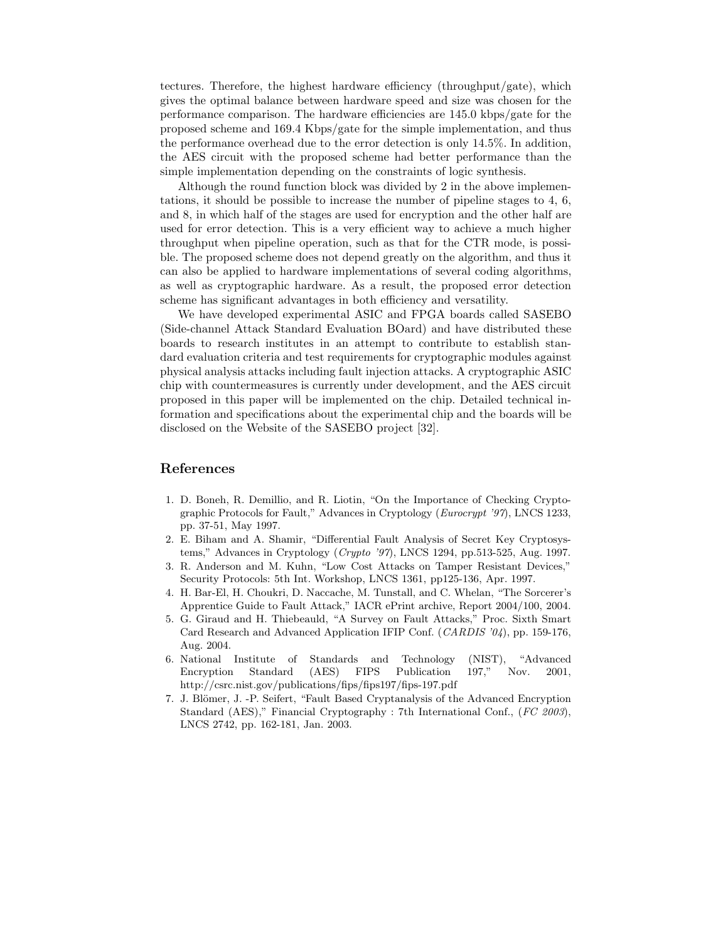tectures. Therefore, the highest hardware efficiency (throughput/gate), which gives the optimal balance between hardware speed and size was chosen for the performance comparison. The hardware efficiencies are 145.0 kbps/gate for the proposed scheme and 169.4 Kbps/gate for the simple implementation, and thus the performance overhead due to the error detection is only 14.5%. In addition, the AES circuit with the proposed scheme had better performance than the simple implementation depending on the constraints of logic synthesis.

Although the round function block was divided by 2 in the above implementations, it should be possible to increase the number of pipeline stages to 4, 6, and 8, in which half of the stages are used for encryption and the other half are used for error detection. This is a very efficient way to achieve a much higher throughput when pipeline operation, such as that for the CTR mode, is possible. The proposed scheme does not depend greatly on the algorithm, and thus it can also be applied to hardware implementations of several coding algorithms, as well as cryptographic hardware. As a result, the proposed error detection scheme has significant advantages in both efficiency and versatility.

We have developed experimental ASIC and FPGA boards called SASEBO (Side-channel Attack Standard Evaluation BOard) and have distributed these boards to research institutes in an attempt to contribute to establish standard evaluation criteria and test requirements for cryptographic modules against physical analysis attacks including fault injection attacks. A cryptographic ASIC chip with countermeasures is currently under development, and the AES circuit proposed in this paper will be implemented on the chip. Detailed technical information and specifications about the experimental chip and the boards will be disclosed on the Website of the SASEBO project [32].

## **References**

- 1. D. Boneh, R. Demillio, and R. Liotin, "On the Importance of Checking Cryptographic Protocols for Fault," Advances in Cryptology (*Eurocrypt '97*), LNCS 1233, pp. 37-51, May 1997.
- 2. E. Biham and A. Shamir, "Differential Fault Analysis of Secret Key Cryptosystems," Advances in Cryptology (*Crypto '97*), LNCS 1294, pp.513-525, Aug. 1997.
- 3. R. Anderson and M. Kuhn, "Low Cost Attacks on Tamper Resistant Devices," Security Protocols: 5th Int. Workshop, LNCS 1361, pp125-136, Apr. 1997.
- 4. H. Bar-El, H. Choukri, D. Naccache, M. Tunstall, and C. Whelan, "The Sorcerer's Apprentice Guide to Fault Attack," IACR ePrint archive, Report 2004/100, 2004.
- 5. G. Giraud and H. Thiebeauld, "A Survey on Fault Attacks," Proc. Sixth Smart Card Research and Advanced Application IFIP Conf. (*CARDIS '04*), pp. 159-176, Aug. 2004.
- 6. National Institute of Standards and Technology (NIST), "Advanced Encryption Standard (AES) FIPS Publication 197," Nov. 2001, http://csrc.nist.gov/publications/fips/fips197/fips-197.pdf
- 7. J. Blömer, J. -P. Seifert, "Fault Based Cryptanalysis of the Advanced Encryption Standard (AES)," Financial Cryptography : 7th International Conf., (*FC 2003*), LNCS 2742, pp. 162-181, Jan. 2003.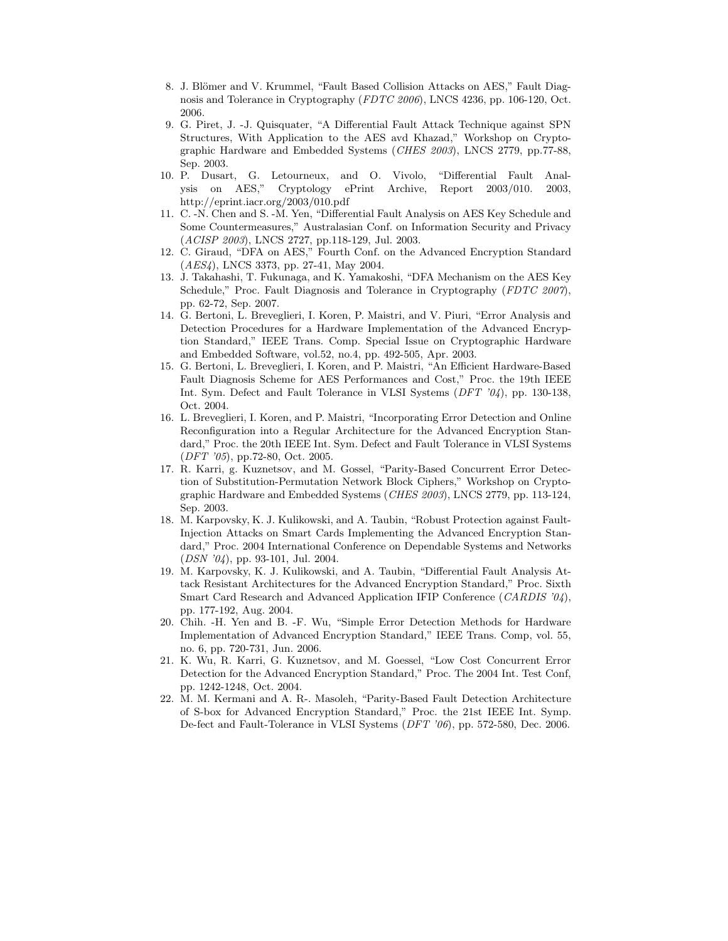- 8. J. Blömer and V. Krummel, "Fault Based Collision Attacks on AES," Fault Diagnosis and Tolerance in Cryptography (*FDTC 2006*), LNCS 4236, pp. 106-120, Oct. 2006.
- 9. G. Piret, J. -J. Quisquater, "A Differential Fault Attack Technique against SPN Structures, With Application to the AES avd Khazad," Workshop on Cryptographic Hardware and Embedded Systems (*CHES 2003*), LNCS 2779, pp.77-88, Sep. 2003.
- 10. P. Dusart, G. Letourneux, and O. Vivolo, "Differential Fault Analysis on AES," Cryptology ePrint Archive, Report 2003/010. 2003, http://eprint.iacr.org/2003/010.pdf
- 11. C. -N. Chen and S. -M. Yen, "Differential Fault Analysis on AES Key Schedule and Some Countermeasures," Australasian Conf. on Information Security and Privacy (*ACISP 2003*), LNCS 2727, pp.118-129, Jul. 2003.
- 12. C. Giraud, "DFA on AES," Fourth Conf. on the Advanced Encryption Standard (*AES4*), LNCS 3373, pp. 27-41, May 2004.
- 13. J. Takahashi, T. Fukunaga, and K. Yamakoshi, "DFA Mechanism on the AES Key Schedule," Proc. Fault Diagnosis and Tolerance in Cryptography (*FDTC 2007*), pp. 62-72, Sep. 2007.
- 14. G. Bertoni, L. Breveglieri, I. Koren, P. Maistri, and V. Piuri, "Error Analysis and Detection Procedures for a Hardware Implementation of the Advanced Encryption Standard," IEEE Trans. Comp. Special Issue on Cryptographic Hardware and Embedded Software, vol.52, no.4, pp. 492-505, Apr. 2003.
- 15. G. Bertoni, L. Breveglieri, I. Koren, and P. Maistri, "An Efficient Hardware-Based Fault Diagnosis Scheme for AES Performances and Cost," Proc. the 19th IEEE Int. Sym. Defect and Fault Tolerance in VLSI Systems (*DFT '04*), pp. 130-138, Oct. 2004.
- 16. L. Breveglieri, I. Koren, and P. Maistri, "Incorporating Error Detection and Online Reconfiguration into a Regular Architecture for the Advanced Encryption Standard," Proc. the 20th IEEE Int. Sym. Defect and Fault Tolerance in VLSI Systems (*DFT '05*), pp.72-80, Oct. 2005.
- 17. R. Karri, g. Kuznetsov, and M. Gossel, "Parity-Based Concurrent Error Detection of Substitution-Permutation Network Block Ciphers," Workshop on Cryptographic Hardware and Embedded Systems (*CHES 2003*), LNCS 2779, pp. 113-124, Sep. 2003.
- 18. M. Karpovsky, K. J. Kulikowski, and A. Taubin, "Robust Protection against Fault-Injection Attacks on Smart Cards Implementing the Advanced Encryption Standard," Proc. 2004 International Conference on Dependable Systems and Networks (*DSN '04*), pp. 93-101, Jul. 2004.
- 19. M. Karpovsky, K. J. Kulikowski, and A. Taubin, "Differential Fault Analysis Attack Resistant Architectures for the Advanced Encryption Standard," Proc. Sixth Smart Card Research and Advanced Application IFIP Conference (*CARDIS '04*), pp. 177-192, Aug. 2004.
- 20. Chih. -H. Yen and B. -F. Wu, "Simple Error Detection Methods for Hardware Implementation of Advanced Encryption Standard," IEEE Trans. Comp, vol. 55, no. 6, pp. 720-731, Jun. 2006.
- 21. K. Wu, R. Karri, G. Kuznetsov, and M. Goessel, "Low Cost Concurrent Error Detection for the Advanced Encryption Standard," Proc. The 2004 Int. Test Conf, pp. 1242-1248, Oct. 2004.
- 22. M. M. Kermani and A. R-. Masoleh, "Parity-Based Fault Detection Architecture of S-box for Advanced Encryption Standard," Proc. the 21st IEEE Int. Symp. De-fect and Fault-Tolerance in VLSI Systems (*DFT '06*), pp. 572-580, Dec. 2006.